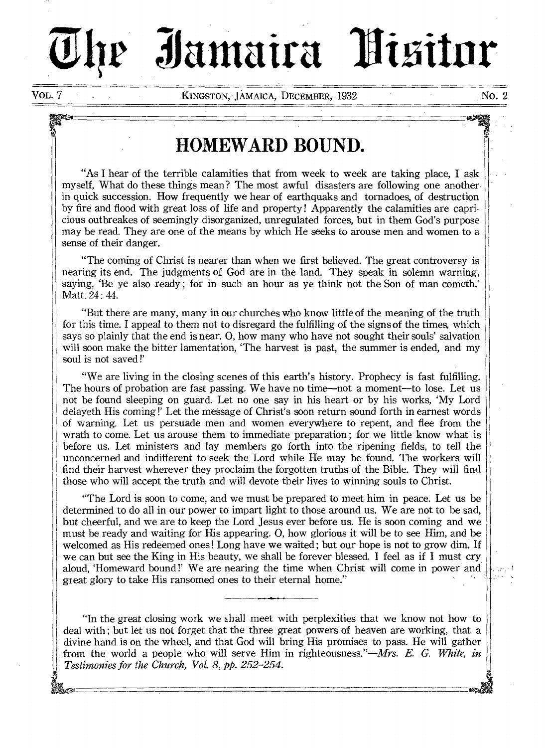# Jamaira Hisitor

VOL. 7 KINGSTON, JAMAICA, DECEMBER, 1932 No. 2

# **HOMEWARD BOUND.**

"As I hear of the terrible calamities that from week to week are taking place, I ask myself, What do these things mean? The most awful disasters are following one another in quick succession. How frequently we hear of earthquaks and tornadoes, of destruction by fire and flood with great loss of life and property ! Apparently the calamities are capricious outbreakes of seemingly disorganized, unregulated forces, but in them God's purpose may be read. They are one of the means by which He seeks to arouse men and women to a sense of their danger.

"The coming of Christ is nearer than when we first believed. The great controversy is nearing its end. The judgments of God are in the land. They speak in solemn warning, saying, 'Be ye also ready ; for in such an hour as ye think not the Son of man cometh.' Matt. 24 : 44.

"But there are many, many in our churches who know little of the meaning of the truth for this time. I appeal to them not to disregard the fulfilling of the signs of the times, which says so plainly that the end is near. 0, how many who have not sought their souls' salvation will soon make the bitter lamentation, 'The harvest is past, the summer is ended, and my soul is not saved !'

"We are living in the closing scenes of this earth's history. Prophecy is fast fulfilling. The hours of probation are fast passing. We have no time—not a moment—to lose. Let us not be found sleeping on guard. Let no one say in his heart or by his works, 'My Lord delayeth His coming !' Let the message of Christ's soon return sound forth in earnest words of warning. Let us persuade men and women everywhere to repent, and flee from the wrath to come. Let us arouse them to immediate preparation ; for we little know what is before us. Let ministers and lay members go forth into the ripening fields, to tell the unconcerned and indifferent to seek the Lord while He may be found. The workers will find their harvest wherever they proclaim the forgotten truths of the Bible. They will find those who will accept the truth and will devote their lives to winning souls to Christ.

"The Lord is soon to come, and we must be prepared to meet him in peace. Let us be determined to do all in our power to impart light to those around us. We are not to be sad, but cheerful, and we are to keep the Lord Jesus ever before us. He is soon coming and we must be ready and waiting for His appearing. 0, how glorious it will be to *see* Him, and be welcomed as His redeemed ones! Long have we waited; but our hope is not to grow dim. If we can but see the King in His beauty, we shall be forever blessed. I feel as if I must cry aloud, 'Homeward bound !' We are nearing the time when Christ will come in power and great glory to take His ransomed ones to their eternal home."

"In the great closing work we shall meet with perplexities that we know not how to deal with ; but let us not forget that the three great powers of heaven are working, that a divine hand is on the wheel, and that God will bring His promises to pass. He will gather from the world a people who will serve Him in righteousness."—Mrs. *E. G. White, in Testimonies for the Church, Vol. 8,* pp. *252-254.*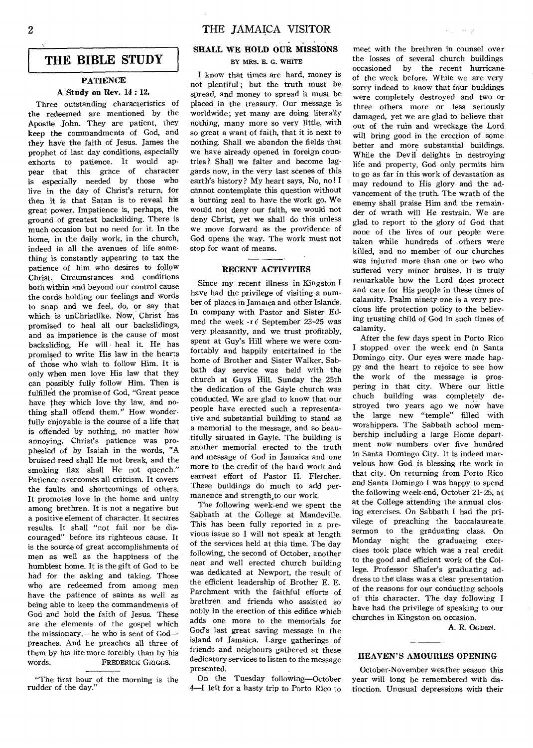# **THE BIBLE STUDY**

# **PATIENCE A Study on Rev. 14 : 12.**

# Three outstanding characteristics of the redeemed are mentioned by the Apostle John. They are patient, they keep the commandments of God, and they have the faith of Jesus. James the prophet of last day conditions, especially exhorts to patience. It would appear that this grace of character is especially needed by those who live in the day of Christ's return, for then it is that Satan is to reveal his great power. Impatience is, perhaps, the ground of greatest backsliding. There is much occasion but no need for it. In the home, in the daily work, in the church, indeed in all the avenues of life something is constantly appearing to tax the patience of him who desires to follow Christ. Circumstances and conditions both within and beyond our control cause the cords holding our feelings and words to snap and we feel, **do,** or say that which is unChristlike. Now, Christ has promised to heal all our backslidings, and as impatience is the cause of most backsliding, He will heal it He has promised to write His law in the hearts of those who wish to follow Him. It is only when men love His law that they can possibly fully follow Him. Then is fulfilled the promise of God, "Great peace have they which love thy law, and nothing shall offend them." How wonderfully enjoyable is the course of a life that is offended by nothing, no matter how annoying. Christ's patience was prophesied of by Isaiah in the words, "A bruised reed shall He not break, and the smoking flax shall He not quench." Patience overcomes all critcism. It covers the faults and shortcomings of others. It promotes love in the home and unity among brethren. It is not a negative but a positive element of character. It secures results. It shall "not fail nor be discouraged" before its righteous cause. It is the source of great accomplishments of men as well as the happiness of the humblest home. It is the gift of God to be had for the asking and taking. Those who are redeemed from among men have the patience of saints as well as being able to keep the commandments of God and hold the faith of Jesus. These are the elements of the gospel which the missionary,—he who is sent of God preaches. And he preaches all three of them by his life more forcibly than by his words. FREDERICK GRIGGS.

# **SHALL WE HOLD OUR MISSIONS**  BY MRS. E. G. WHITE

I know that times are hard, money is not plentiful ; but the truth must be spread, and money to spread it must be placed in the treasury. Our message is worldwide; yet many are doing literally nothing, many more so very little, with so great a want of faith, that it is next to nothing. Shall we abandon the fields that we have already opened in foreign countries? Shall we falter and become laggards now, in the very last scenes of this earth's history? My heart says, No, no! I cannot contemplate this question without **a** burning zeal to have the work go. We would not deny our faith, we would not deny Christ, yet we shall do this unless we move forward as the providence of God opens the way. The work must not stop for want of means.

# **RECENT ACTIVITIES**

Since my recent illness in Kingston I have had the privilege of visiting a number of places in Jamaica and other Islands. In company with Pastor and Sister Edmed the week -re September 23-25 was very pleasantly, and we trust profitably, spent at Guy's Hill where we were comfortably and happily entertained in the home of Brother and Sister Walker. Sabbath day service was held with the church at Guys Hill. Sunday the 25th the dedication of the Gayle church was conducted. We are glad to know that our people have erected such a representative and substantial building to stand as a memorial to the message, and so beautifully situated in Gayle. The building is another memorial erected to the truth and message of God in Jamaica and one more to the credit of the hard work and earnest effort of Pastor H. Fletcher. These buildings do much to add permanence and strength<sub>sto our work.</sub>

The following week-end we spent the Sabbath at the College at Mandeville. This has been fully reported in a previous issue so I will not speak at length of the services held at this time. The day following, the second of October, another neat and well erected church building was dedicated at Newport, the result of the efficient leadership of Brother E. E. Parchment with the faithful efforts of brethren and friends who assisted so nobly in the erection of this edifice which adds one more to the memorials for God's last great saving message in the island of Jamaica. Large gatherings of friends and neighours gathered at these dedicatory services to listen to the message presented.

On the Tuesday following—October 4—I left for a hasty trip to Porto Rico to

meet with the brethren in counsel over the losses of several church buildings occasioned by the recent hurricane of the week before. While we are very sorry indeed to know that four buildings were completely destroyed and two or three others more or less seriously damaged, yet we are glad to believe that out of the ruin and wreckage the Lord will bring good in the erection of some better and more substantial buildings. While the Devil delights in destroying life and property, God only permits him to go as far in this work of devastation as may redound to His glory and the advancement of the truth. The wrath of the enemy shall praise Him and the remainder of wrath will He restrain. We are glad to report to the glory of God that none of the lives of our people were taken while hundreds of .others were killed, and no member of our churches was injured more than one or two who suffered very minor bruises. It is truly remarkable how the Lord does protect and care for His people in these times of calamity. Psalm ninety-one is a very precious life protection policy to the believing trusting child of God in such times of calamity.

 $\mathcal{N}_{\rm{max}}$ والعجا

After the few days spent in Porto Rico I stopped over the week end in Santa Domingo city. Our eyes were made happy and the heart to rejoice to see how the work of the message is prospering in that city. Where our little chuch building was completely destroyed two years ago we now have the large new "temple" filled with worshippers. The Sabbath school membership including a large Home department now numbers over five hundred in Santa Domingo City. It is indeed marvelous how God is blessing the work in that city. On returning from Porto Rico and Santa Domingo I was happy to spend the following week-end, October 21-25, at at the College attending the annual closing exercises. On Sabbath I had the privilege of preaching the baccalaureate sermon to the graduating class. On Monday night the graduating exercises took place which was a real credit to the good and efficient work of the College. Professor Shafer's graduating address to the class was a clear presentation of the reasons for our conducting schools of this character. The day following I have had the privilege of speaking to our churches in Kingston on occasion.

A. R. OGDEN.

# **HEAVEN'S AMOURIES OPENING**

October-November weather season this year will long be remembered with distinction. Unusual depressions with their

<sup>&</sup>quot;The first hour of the morning is the rudder of the day."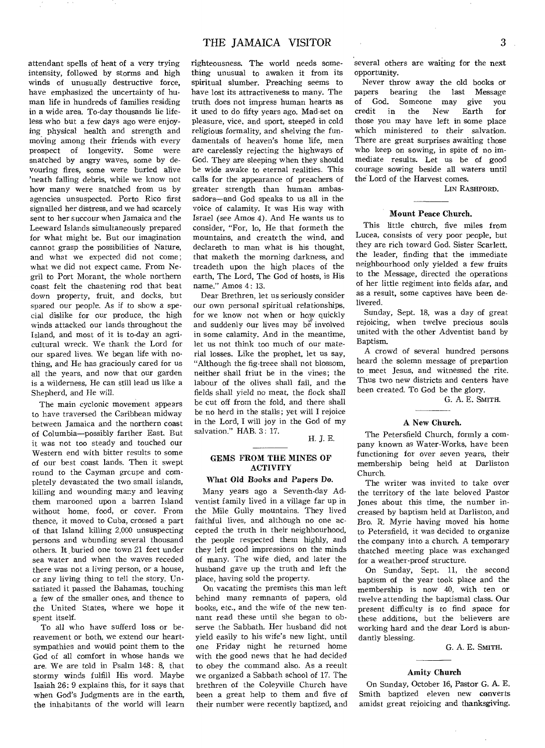attendant spells of heat of a very trying intensity, followed by storms and high winds of unusually destructive force, have emphasized the uncertainty of human life in hundreds of families residing in a wide area. To-day thousands lie lifeless who but a few days ago were enjoying\_ physical health and strength and moving among their friends with every prospect of longevity. Some were snatched by angry waves, some by devouring fires, some were buried alive 'neath falling debris, while we know not how many were snatched from us by agencies unsuspected. Porto Rico first signalled her distress, and we had scarcely sent to her succour when Jamaica and the Leeward Islands simultaneously prepared for what might be. But our imagination cannot grasp the possibilities of Nature, and what we expected did not come; what we did not expect came. From Negril to Port Morant, the whole northern coast felt the chastening rod that beat down property, fruit, and docks, but spared our people. As if to show a special dislike for our produce, the high winds attacked our lands throughout the Island, and most of it is to-day an agricultural wreck. We thank the Lord for our spared lives. We began life with nothing, and He has graciously cared for us all the years, and now that our garden is a wilderness, He can still lead us like a Shepherd, and He will.

The main cyclonic movement appears to have traversed the Caribbean midway between Jamaica and the northern coast of Columbia—possibly farther East. But it was not too steady and touched our Western end with bitter results to some of our best coast lands. Then it swept round to the Cayman grcupe and completely devastated the two small islands, killing and wounding many and leaving them marooned upon a barren Island without home, food, or cover. From thence, it moved to Cuba, crossed a part of that Island killing 2,000 unsuspecting persons and wounding several thousand others. It buried one town 21 feet under sea water and when the waves receded there was not a living person, or a house, or any living thing to tell the story. Unsatiated it passed the Bahamas, touching a few of the smaller ones, and thence to the United States, where we hope it spent itself.

To all who have sufferd loss or bereavement or both, we extend our heartsympathies and would point them to the God of all comfort in whose hands we are. We are told in Psalm 148: 8, that stormy winds fulfill His word. Maybe Isaiah 26: 9 explains this, for it says that when God's Judgments are in the earth, the inhabitants of the world will learn

righteousness. The world needs something unusual to awaken it from its spiritual slumber. Preaching seems to have lost its attractiveness to many. The truth does not impress human hearts as it used to do fifty years ago. Mad-set on pleasure, vice, and sport, steeped in cold religious formality, and shelving the fundamentals of heaven's home life, men are carelessly rejecting the highways of God. They are sleeping when they should be wide awake to eternal realities. This calls for the appearance of preachers of greater strength than human ambassadors—and God speaks to us all in the voice of calamity. It was His way with Israel *(see* Amos 4). And He wants us to consider, "For, lo, He that formeth the mountains, and createth the wind, and declareth to man what is his thought, that maketh the morning darkness, and treadeth upon the high places of the earth, The Lord, The God of hosts, is His name." Amos 4: 13.

Dear Brethren, let us seriously consider our own personal spiritual relationships, for we know not when or how quickly and suddenly our lives may be involved in some calamity. And in the meantime, let us not think too much of our material losses. Like the prophet, let us say, "Although the fig-treee shall not blossom, neither shall friut be in the vines; the labour of the olives shall fail, and the fields shall yield no meat, the flock shall be cut off from the fold, and there shall be no herd in the stalls; yet will I rejoice in the Lord, I will joy in the God of my salvation." HAB. 3: 17.

H. J. E.

# GEMS FROM THE MINES OF ACTIVITY

# What Old Books and Papers Do.

Many years ago a Seventh-day Adventist family lived in a village far up in the Mile Gully mountains. They lived faithful lives, and although no one accepted the truth in their neighbourhood, the people respected them highly, and they left good impressions on the minds of many. The wife died, and later the husband gave up the truth and left the place, having sold the property.

On vacating the premises this man left behind many remnants of papers, old books, etc., and the wife of the new tennant read these until she began to observe the Sabbath. Her husband did not yield easily to his wife's new light, until one Friday night he returned home with the good news that he had decided to obey the command also. As a reeult we organized a Sabbath school of 17. The brethren of the Coleyville Church have been a great help to them and five of their number were recently baptized, and

several others are waiting for the next opportunity.

Never throw away the old books or papers bearing the last Message<br>of God. Someone may give you d. Someone may give you<br>in the New Earth for credit in the New Earth for those you may have left in some place which ministered to their salvation. There are great surprises awaiting those who keep on sowing, in spite of no immediate results. Let us be of good courage sowing beside all waters until the Lord of the Harvest comes.

LIN RASHFORD.

# Mount Peace Church.

This little church, five miles from Lucea, consists of very poor people, but they are rich toward God. Sister Scarlett, the leader, finding that the immediate neighbourhood only yielded a few fruits to the Message, directed the operations of her little regiment into fields afar, and as a result, some captives have been delivered.

Sunday, Sept. 18, was a day of great rejoicing, when twelve precious souls united with the other Adventist band by Baptism.

A crowd of several hundred persons heard the solemn message of prepartion to meet Jesus, and witnessed the rite. Thus two new districts and centers have been created. To God be the glory.

G. A. E. SMITH.

# A New Church.

The Petersfield Church, formly a company known as Water-Works, have been functioning for over seven years, their membership being held at Darliston Church.

The writer was invited to take over the territory of the late beloved Pastor Jones about this time, the number increased by baptism held at Darliston, and Bro. R. Myrie having moved his home to Petersfield, it was decided to organize the company into a church. A temporary thatched meeting place was exchanged for a weather-proof structure.

On Sunday, Sept. 11, the second baptism of the year took place and the membership is now 40, with ten or twelve attending the baptismal class. Our present difficulty is to find space for these additions, but the believers are working hard and the dear Lord is abundantly blessing.

G. A. E. SMITH.

# Amity Church

On Sunday, October 16, Pastor G. A. E. Smith baptized eleven new converts amidst great rejoicing and thanksgiving.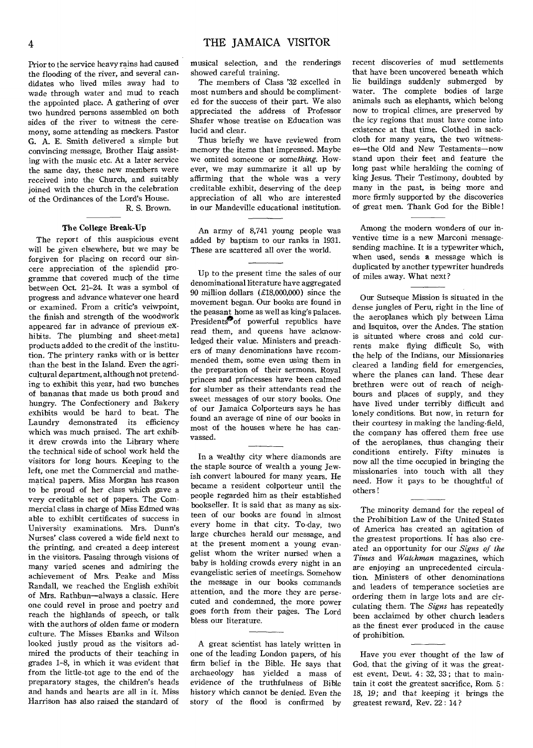Prior to the service heavy rains had caused the flooding of the river, and several candidates who lived miles away had to wade through water and mud to reach the appointed place. A gathering of over two hundred persons assembled on both sides of the river to witness the ceremony, some attending as mockers. Pastor G. A. E. Smith delivered a simple but convincing message, Brother Haig assisting with the music etc. At a later service the same day, these new members were received into the Church, and suitably joined with the church in the celebration of the Ordinances of the Lord's House. R. S. Brown.

# The College Break-Up

The report of this auspicious event will be given elsewhere, but we may be forgiven for placing on record our sincere appreciation of the splendid programme that covered much of the time between Oct. 21-24. It was a symbol of progress and advance whatever one heard or examined. From a critic's veiwpoint, the finish and strength of the woodwork appeared far in advance of previous exhibits. The plumbing and sheet-metal products added to the credit of the institution. The printery ranks with or is better than the best in the Island. Even the agricultural department, although not pretending to exhibit this year, had two bunches of bananas that made us both proud and hungry. The Confectionery and Bakery exhibits would be hard to beat. The Laundry demonstrated its efficiency which was much praised. The art exhibit drew crowds into the Library where the technical side of school work held the visitors for long hours. Keeping to the left, one met the Commercial and mathematical papers. Miss Morgan has reason to be proud of her class which gave a very creditable set of papers. The Commercial class in charge of Miss Edmed was able to exhibit certificates of success in University examinations. Mrs. Dunn's Nurses' class covered a wide field next to the printing, and created a deep interest in the visitors. Passing through visions of many varied scenes and admiring the achievement of Mrs. Peake and Miss Randall, we reached the English exhibit of Mrs. Rathbun—always a classic. Here one could revel in prose and poetry and reach the highlands of speech, or talk with the authors of olden fame or modern culture. The Misses Ebanks and Wilson looked justly proud as the visitors admired the products of their teaching in grades 1-8, in which it was evident that from the little-tot age to the end of the preparatory stages, the children's heads and hands and hearts are all in it. Miss Harrison has also raised the standard of

musical selection, and the renderings showed careful training.

The members of Class '32 excelled in most numbers and should be complimented for the success of their part. We also appreciated the address of Professor Shafer whose treatise on Education was lucid and clear.

Thus briefly we have reviewed from memory the items that impressed. Maybe we omited someone or *something.* However, we may summarize it all up by affirming that the whole was a very creditable exhibit, deserving of the deep appreciation of all who are interested in our Mandeville educational institution.

An army of 8,741 young people was added by baptism to our ranks in 1931. These are scattered all over the world.

Up to the present time the sales of our denominational literature have aggregated 90 million dollars  $(\text{\pounds}18,000,000)$  since the movement began. Our books are found in the peasant home as well as king's palaces. Presidents<sup>3</sup>of powerful republics have read them, and queens have acknowledged their value. Ministers and preachers of many denominations have recommended them, some even using them in the preparation of their sermons. Royal princes and princesses have been calmed for slumber as their attendants read the sweet messages of our story books. One of our Jamaica Colporteurs says he has found an average of nine of our books in most of the houses where he has canvassed.

In a wealthy city where diamonds are the staple source of wealth a young Jewish convert laboured for many years. He became a resident colporteur until the people regarded him as their established bookseller. It is said that as many as sixteen of our books are found in almost every home in that city. To-day, two large churches herald our message, and at the present moment a young evangelist whom the writer nursed when a baby is holding crowds every night in an evangelistic series of meetings. Somehow the message in our books commands attention, and the more they are persecuted and condemned, the more power goes forth from their pages. The Lord bless our literature.

A great scientist has lately written in one of the leading London papers, of his firm belief in the Bible. He says that archaeology has yielded a mass of evidence of the truthfulness of Bible history which cannot be *denied.* Even the story of the flood is confirmed by recent discoveries of mud settlements that have been uncovered beneath which lie buildings suddenly submerged by water. The complete bodies of large animals such as elephants, which belong now to tropical climes, are preserved by the icy regions that must have come into existence at that time. Clothed in sackcloth for many years, the two witnesses—the Old and New Testaments—now stand upon their feet and feature the long past while heralding the coming of king Jesus. Their Testimony, doubted by many in the past, is being more and more firmly supported by the discoveries of great men. Thank God for the Bible!

Among the modern wonders of our inventive time is a new Marconi messagesending machine. It is a typewriter which, when used, sends a message which is duplicated by another typewriter hundreds of miles away. What next?

Our Sutseque Mission is situated in the dense jungles of Peru, right in the line of the aeroplanes which ply between Lima and Isquitos, over the Andes. The station is situated where cross and cold currents make flying difficult So, with the help of the Indians, our Missionaries cleared a landing field for emergencies, where the planes can land. These dear brethren were out of reach of neighbours and places of supply, and they have lived under terribly difficult and lonely conditions. But now, in return for their courtesy in making the landing-field, the company has offered them free use of the aeroplanes, thus changing their conditions entirely. Fifty minutes is now all the time occupied in bringing the missionaries into touch with all they need. How it pays to be thoughtful of others!

The minority demand for the repeal of the Prohibition Law of the United States of America has created an agitation of the greatest proportions. It has also created an opportunity for our *Signs of the Times* and *Watchman* magazines, which are enjoying an unprecedented circulation. Ministers of other denominations and leaders of temperance societies are ordering them in large lots and are circulating them. The *Signs* has repeatedly been acclaimed by other church leaders as the finest ever produced in the cause of prohibition.

Have you ever thought of the law of God, that the giving of it was the greatest event, Deut. 4: 32, 33 ; that to maintain it cost the greatest sacrifice, Rom. 5: 18, 19; and that keeping it *brings* the greatest reward, Rev. 22 : 14 ?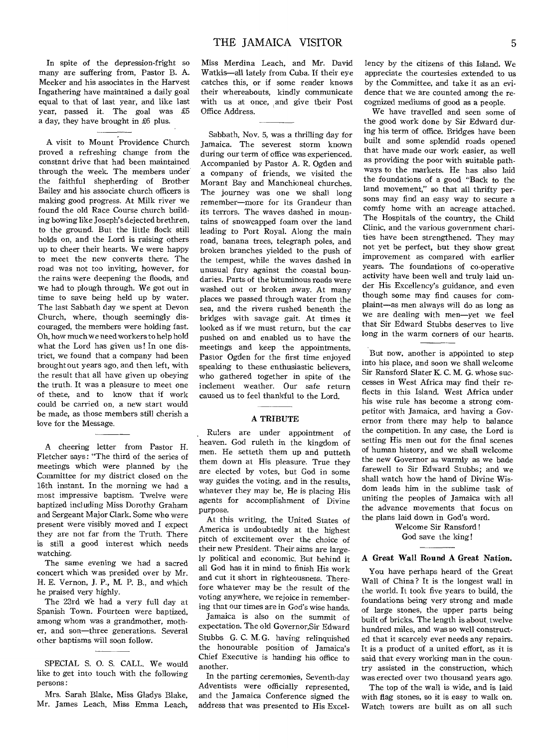In spite of the depression-fright so many are suffering from, Pastor B. A. Meeker and his associates in the Harvest Ingathering have maintained a daily goal equal to that of last year, and like last year, passed it. The goal was £5 a day, they have brought in £6 plus.

A visit to Mount Providence Church proved a refreshing change from the constant drive that had been maintained through the week. The members under the faithful shepherding of Brother Bailey and his associate church officers is making good progress. At Milk river we found the old Race Course church building bowing like Joseph's dejected brethren, to the ground. But the little flock still holds on, and the Lord is raising others up to cheer their hearts. We were happy to meet the new converts there. The road was not too inviting, however, for the rains were deepening the floods, and we had to plough through. We got out in time to save being held up by water. The last Sabbath day we spent at Devon Church, where, though seemingly discouraged, the members were holding fast. Oh, how much we need workers to help hold what the Lord has given us! In one district, we found that a company had been brought out years ago, and then left, with the result that all have given up obeying the truth. It was a pleasure to meet one of these, and to know that if work could be carried on, a new start would be made, as those members still cherish a love for the Message.

A cheering letter from Pastor H. Fletcher says: "The third of the series of meetings which were planned by the Committee for my district closed on the 16th instant. In the morning we had a most impressive baptism. Twelve were baptized including Miss Dorothy Graham and Sergeant Major Clark. Some who were present were visibly moved and I expect they are not far from the Truth. There is still a good interest which needs watching.

The same evening we had a sacred concert which was presided over by Mr. H. E. Vernon, **J.** P., M. P. B., and which he praised very highly.

The 23rd we had a very full day at Spanish Town. Fourteen were baptized, among whom was a grandmother, mother, and son—three generations. Several other baptisms will soon follow.

SPECIAL S. 0. S. CALL. We would like to get into touch with the following persons:

Mrs. Sarah Blake, Miss Gladys Blake, Mr. James Leach, Miss Emma Leach, Miss Merdina Leach, and Mr. David Watkis—all lately from Cuba. If their eye catches this, or if some reader knows their whereabouts, kindly communicate with us at once, and give their Post Office Address.

Sabbath, Nov. 5, was a thrilling day for Jamaica. The severest storm known during our term of office was experienced. Accompanied by Pastor A. R. Ogden and a company of friends, we visited the Morant Bay and Manchioneal churches. The journey was one we shall long remember—more for its Grandeur than its terrors. The waves dashed in mountains of snowcapped foam over the land leading to Port Royal. Along the main road, banana trees, telegraph poles, and broken branches yielded to the push of the tempest, while the waves dashed in unusual fury against the coastal boundaries. Parts of the bituminous roads were washed out or broken away. At many places we passed through water from the sea, and the rivers rushed beneath the bridges with savage gait. At times it looked as if we must return, but the car pushed on and enabled us to have the meetings and keep the appointments. Pastor Ogden for the first time enjoyed speaking to these enthusiastic believers, who gathered together in spite of the inclement weather. Our safe return caused us to feel thankful to the Lord.

# **A TRIBUTE**

Rulers are under appointment of heaven. God ruleth in the kingdom of men. He setteth them up and putteth them down at His pleasure. True they are elected by votes, but God in some way guides the voting, and in the results, whatever they may be, He is placing His agents for accomplishment of Divine purpose.

At this writing, the United States of America is undoubtedly at the highest pitch of excitement over the choice of their new President. Their aims are largely political and economic. But behind it all God has it in mind to finish His work and cut it short in righteousness. Therefore whatever may be the result of the voting anywhere, we rejoice in remembering that our times are in God's wise hands.

Jamaica is also on the summit of expectation. The old Governor,Sir Edward Stubbs G. C. M. G. having relinquished the honourable position of Jamaica's Chief Executive is handing his office to another.

In the parting ceremonies, Seventh-day Adventists were officially represented, and the Jamaica Conference signed the address that was presented to His Excellency by the citizens of this Island. We appreciate the courtesies extended to us by the Committee, and take it as an evidence that we are counted among the recognized mediums of good as a people.

We have travelled and seen some of the good work done by Sir Edward during his term of office. Bridges have been built and some splendid roads opened that have made our work easier, as well as providing the poor with suitable pathways to the markets. He has also laid the foundations of a good "Back to the land movement," so that all thrifty persons may find an easy way to secure a comfy home with an acreage attached. The Hospitals of the country, the Child Clinic, and the various government charities have been strengthened. They may not yet be perfect, but they show great improvement as compared with earlier years. The foundations of co-operative activity have been well and truly laid under His Excellency's guidance, and even though some may find causes for complaint—as men always will do as long as we are dealing with men—yet we feel that Sir Edward Stubbs deserves to live long in the warm corners of our hearts.

But now, another is appointed to step into his place, and soon we shall welcome Sir Ransford Slater K. C. M. G. whose successes in West Africa may find their reflects in this Island. West Africa under his wise rule has become a strong competitor with Jamaica, and having a Governor from there may help to balance the competition. In any case, the Lord is setting His men out for the final scenes of human history, and we shall welcome the new Governor as warmly as we bade farewell to Sir Edward Stubbs; and we shall watch how the hand of Divine Wisdom leads him in the sublime task of uniting the peoples of Jamaica with all the advance movements that focus on the plans laid down in God's word.

> Welcome Sir Ransford ! God save the king!

# **A Great Wall Round A Great Nation.**

You have perhaps heard of the Great Wall of China ? It is the longest wall in the world. It took five years to build, the foundations being very strong and made of large stones, the upper parts being built of bricks. The length is about twelve hundred miles, and was so well constructed that it scarcely ever needs any repairs. It is a product of a united effort, as it is said that every working man in the country assisted in the construction, which was erected over two thousand years ago.

The top of the wall is wide, and is laid with flag stones, so it is easy to walk on. Watch towers are built as on all such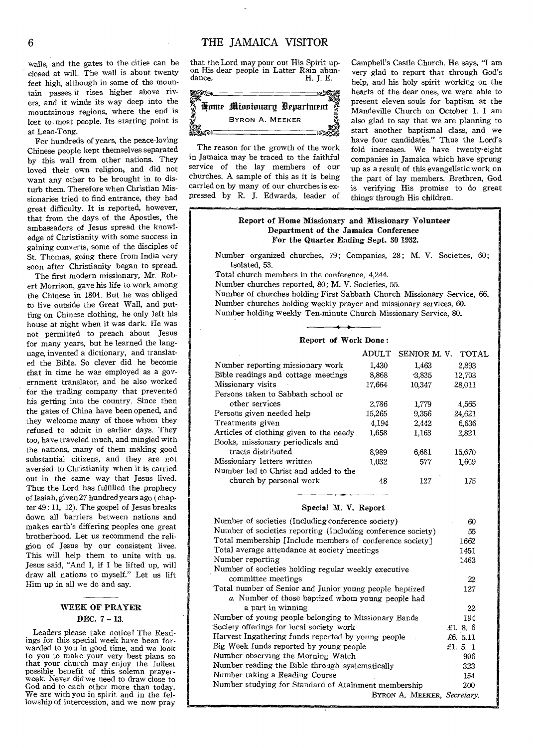walls, and the gates to the cities can be closed at will. The wall is about twenty feet high, although in some of the mountain passes it rises higher above rivers, and it winds its way deep into the mountainous regions, where the end is lost to- most people. Its starting point is at Leao-Tong.

For hundreds of years, the peace-loving Chinese people kept themselves separated by this wall from other nations. They loved their own religion, and did not want any other to be brought in to disturb them. Therefore when Christian Missionaries tried to find entrance, they had great difficulty. It is reported, however, that from the days of the Apostles, the ambassadors of Jesus spread the knowledge of Christianity with some success in gaining converts, some of the disciples of St. Thomas, going there from India very soon after Christianity began to spread.

The first modern missionary, Mr. Robert Morrison, gave his life to work among the Chinese in 1804. But he was obliged to live outside the Great Wall, and putting on Chinese clothing, he only left his house at night when it was dark. He was not permitted to preach about Jesus for many years, but he learned the language, invented a dictionary, and translated the Bible. So clever did he become that in time he was employed as a government translator, and he also worked for the trading company that prevented his getting into the country. Since then the gates of China have been opened, and they welcome many of those whom they refused to admit in earlier days. They too, have traveled much, and mingled with the nations, many of them making good substantial citizens, and they are not aversed to Christianity when it is carried out in the same way that Jesus lived. Thus the Lord has fulfilled the prophecy of Isaiah, given 27 hundred years ago ( chapter 49 : 11, 12). The gospel of Jesus breaks down all barriers between nations and makes earth's differing peoples one great brotherhood. Let us recommend the religion of Jesus by our consistent lives. This will help them to unite with us. Jesus said, "And I, if I be lifted up, will draw all nations to myself." Let us lift Him up in all we do and say.

# WEEK OF PRAYER DEC. 7 — 13.

Leaders please take notice! The Readings for this special week have been forwarded to you in good time, and we look to you to make your very best plans so that your church may enjoy the fullest possible benefit of this solemn prayerweek. Never did we need to draw close to God and to each other more than today. We are with you in spirit and in the fellowship of intercession, and we now pray that the Lord may pour out His Spirit upon His dear people in Latter Rain abundance. dance. H. J. E.



The reason for the growth of the work in Jamaica may be traced to the faithful service of the lay members of our churches. A sample of this as it is being carried on by many of our churches is expressed by R. J. Edwards, leader of

.11.1.1111111•11.111....,

Campbell's Castle Church. He says, "I am very glad to report that through God's help, and his holy spirit working on the hearts of the dear ones, we were able to present eleven souls for baptism at the Mandeville Church on October 1. I am also glad to say that we are planning to start another baptismal class, and we have four candidates." Thus the Lord's fold increases. We have twenty-eight companies in Jamaica which have sprung 'up as a result of this evangelistic work on the part of lay members. Brethren, God is verifying His promise to do great things through His children.

# Report of Home Missionary and Missionary Volunteer Department of the Jamaica Conference For the Quarter Ending Sept. 30 1932.

Number organized churches, 79; Companies, 28; M. V. Societies, 60; Isolated, 53.

Total church members in the conference, 4,244.

Number churches reported, 80; M. V. Societies, 55.

Number of churches holding First Sabbath Church Missionary Service, 66. Number churches holding weekly prayer and missionary services, 60. Number holding weekly Ten-minute Church Missionary Service, 80.

# Report of Work Done :

|                                         | ADULT  | SENIOR M.V. | <b>TOTAL</b> |
|-----------------------------------------|--------|-------------|--------------|
| Number reporting missionary work        | 1,430  | 1.463       | 2,893        |
| Bible readings and cottage meetings     | 8.868  | 3,835       | 12,703       |
| Missionary visits                       | 17.664 | 10,347      | 28,011       |
| Persons taken to Sabbath school or      |        |             |              |
| other services                          | 2.786  | 1,779       | 4,565        |
| Persons given needed help               | 15,265 | 9.356       | 24,621       |
| Treatments given                        | 4.194  | 2,442       | 6.636        |
| Articles of clothing given to the needy | 1.658  | 1.163       | 2,821        |
| Books, missionary periodicals and       |        |             |              |
| tracts distributed                      | 8,989  | 6,681       | 15.670       |
| Missioniary letters written             | 1.032  | 577         | 1.609        |
| Number led to Christ and added to the   |        |             |              |
| church by personal work                 | 48     | 127         | 175          |

## Special M. V. Report

| Number of societies (Including conference society)           | 60        |  |
|--------------------------------------------------------------|-----------|--|
| Number of societies reporting (Including conference society) | 55        |  |
| Total membership [Include members of conference society]     | 1662      |  |
| Total average attendance at society meetings                 | 1451      |  |
| Number reporting                                             | 1463      |  |
| Number of societies holding regular weekly executive         |           |  |
| committee meetings                                           | 22        |  |
| Total number of Senior and Junior young people baptized      | 127       |  |
| a. Number of those baptized whom young people had            |           |  |
| a part in winning                                            | 22        |  |
| Number of young people belonging to Missionary Bands         | 194       |  |
| Society offerings for local society work                     | £1. 8. 6  |  |
| Harvest Ingathering funds reported by young people           | £6. 5.11  |  |
| Big Week funds reported by young people                      | £1. $5.1$ |  |
| Number observing the Morning Watch                           | 906       |  |
| Number reading the Bible through systematically              | 323       |  |
| Number taking a Reading Course                               | 154       |  |
| Number studying for Standard of Atainment membership         |           |  |
| BYRON A. MEEKER, Secretary.                                  |           |  |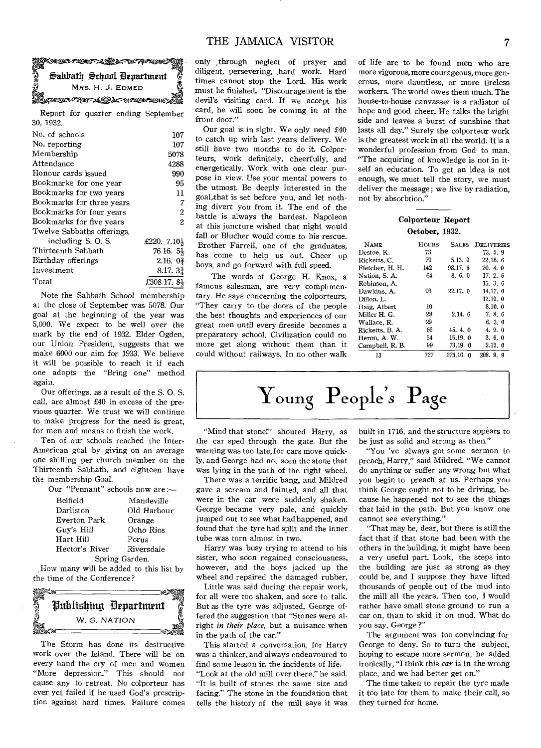# **Rondrygy** elsoor and the self-energies and the selfe<br>S MRS. H. J. EDMED alwa California California California California California California California California California Califo Sabbath School Department

Report for quarter ending September 30, 1932.

| No. of schools             | 107                     |
|----------------------------|-------------------------|
| No. reporting              | 107                     |
| Membership                 | 5078                    |
| Attendance                 | 4288                    |
| Honour cards issued        | 990                     |
| Bookmarks for one year     | 95                      |
| Bookmarks for two years    | 11                      |
| Bookmarks for three vears  | 7                       |
| Bookmarks for four years   | $\boldsymbol{2}$        |
| Bookmarks for five vears   | 2                       |
| Twelve Sabbaths offerings. |                         |
| including S. O. S.         | £220. $7.10\frac{1}{2}$ |
| Thirteenth Sabhath         | 76.16. 54               |
| Birthday offerings         | 2.16.0 <sup>3</sup>     |
| Investment                 | 8.17.3 <sup>2</sup>     |
| Total                      | £308.17.84              |
|                            |                         |

Note the Sabbath School membership at the close of September was 5078. Our goal at the beginning of the year was 5,000. We expect to be well over the mark by the end of 1932. Elder Ogden, our Union President, suggests that we make 6000 our aim for 1933. We believe it will be possible to reach it if each one adopts the "Bring one" method again.

Our offerings, as a result of the S. 0. S. call, are almost £40 in excess of the previous quarter. We trust we will continue to make progress for the need is great, for men and means to finish the work.

Ten of our schools reached the Inter-American goal by giving on an average one shilling per church member on the Thirteenth Sabbath, and eighteen have the membership Goal.

| Our "Pennant" schools now are:— |             |  |  |  |
|---------------------------------|-------------|--|--|--|
| <b>Belfield</b>                 | Mandeville  |  |  |  |
| Darliston                       | Old Harbour |  |  |  |
| Everton Park                    | Orange      |  |  |  |
| Guy's Hill                      | Ocho Rios   |  |  |  |
| Hart Hill                       | Porus       |  |  |  |
| Hector's River                  | Riversdale  |  |  |  |
| Spring Garden.                  |             |  |  |  |

,How many will be added to this list by the time of the Conference?



The Storm has done its destructive work over the Island. There will be on every hand the cry of men and women "More depression." This should not cause any to retreat. No colporteur has ever yet failed if he used God's prescription against hard times. Failure comes only .through neglect of prayer and diligent, persevering, .hard work. Hard times cannot stop the Lord. His work must be finished. "Discouragement is the devil's visiting card. If we accept his card, he will soon be coming in at the front door."

Our goal is in sight. We only need £40 to catch up with last years delivery. We still have two months to do it. Colporteurs, work definitely, cheerfully, and energetically. Work with one clear purpose in view. Use your mental powers to the utmost. Be deeply interested in the goal that is set before you, and let nothing divert you from it. The end of the battle is always the hardest. Napoleon at this juncture wished that night would fall or Blucher would come to his rescue. Brother Farrell, one of the graduates, has come to help us out. Cheer up boys, and go forward with full speed.

The words of George H. Knox, a famous salesman, are very complimentary. He says concerning the colporteurs, "They carry to the doors of the people the best thoughts and experiences of our great men until every fireside becomes a preparatory school. Civilization could no more get along without them than it could without railways. In no other walk

of life are to be found men who are more vigorous, more courageous, more generous, more dauntless, or more tireless workers. The world owes them much. The house-to-house canvasser is a radiator of hope and good cheer. He talks the bright side and leaves a burst of sunshine that lasts all day." Surely the colporteur work is the greatest work in all the world. It is a wonderful profession from God to man. "The acquiring of knowledge is not in itself an education. To get an idea is not enough, we must tell the story, we must deliver the message; we live by radiation, not by absorbtion."

# Colporteur Report October, 1932.

| <b>NAME</b>     | HOURS | <b>SALES</b> | DELIVERIES |
|-----------------|-------|--------------|------------|
| Destoe, K.      | 73    |              | 73.5.9     |
| Ricketts, C.    | 79    | 5.13.0       | 22.18.6    |
| Fletcher, H. H. | 142   | 98.17.6      | 20.4.0     |
| Nation, S. A.   | 64    | 8, 6, 0      | 17.26      |
| Robinson, A.    |       |              | 15.3.6     |
| Dawkins, A.     | 93    | 22.17.0      | 14.17.0    |
| Dillon. L.      |       |              | 12.10.0    |
| Haig, Albert    | 10    |              | 8.10.0     |
| Miller H. G.    | 28    | 2.14.6       | 7.86       |
| Wallace, R.     | 29    |              | 6.3.0      |
| Ricketts, B. A. | 66    | 45, 4, 0     | 4.9.0      |
| Heron, A. W.    | 54    | 15.19.0      | 3.6.0      |
| Campbell, R. B. | 99    | 73.19. 0     | 2.12.0     |
| 13              | 727   | 273.10. 0    | 208.99     |

Young People*s* Page

"Mind that stone!" shouted Harry, as the car sped through the gate. But the warning was too late, for cars move quickly, and George had not seen the stone that was lying in the path of the right wheel.

There was a terrific bang, and Mildred gave a scream and fainted, and all that were in the car were suddenly shaken. George became very pale, and quickly jumped out to see what had happened, and found that the tyre had split and the inner tube was torn almost in two.

Harry was busy trying to attend to his sister, who soon regained consciousness, however, and the boys jacked up the wheel and repaired the damaged rubber.

Little was said during the repair work, for all were too shaken, and sore to talk. But as the tyre was adjusted, George offered the suggestion that "Stones were alright *in their place*, but a nuisance when in the path of the car."

This started a conversation, for Harry was a thinker, and always endeavoured to find some lesson in the incidents of life. "Look at the old mill over there," he said. "It is built of stones the same size and facing." The stone in the foundation that tells the history of the mill says it was built in 1716, and the structure appears to be just as solid and strong as then."

"You 'ye always got some sermon to preach, Harry," said Mildred. "We cannot do anything or suffer any wrong but what you begin to preach at us. Perhaps you think George ought not to be driving, because he happened not to see the things that laid in the path. But you know one cannot see everything."

"That may be, dear, but there is still the fact that if that stone had been with the others in the building, it might have been a very useful part. Look, the steps into the building are just as strong as they could be, and I suppose they have lifted thousands of people out of the mud into the mill all the years. Then too, I would rather have small stone ground to run a car on, than to skid it on mud. What do you say, George ?"

The argument was too convincing for George to deny. So to turn the subject, hoping to escape more sermon, he added ironically, "I think this *car* is in the wrong place, and we had better get on."

The time taken to repair the tyre made it too late for them to make their call, so they turned for home.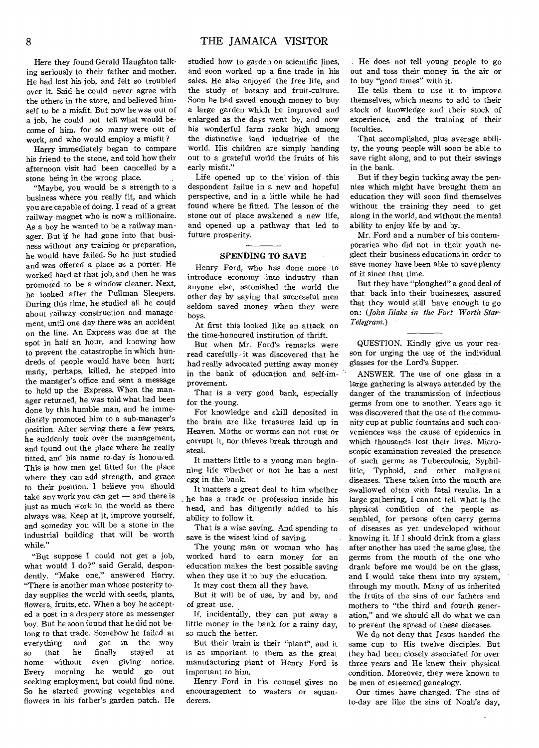Here they found Gerald Haughton talking seriously to their father and mother. He had lost his job, and felt so troubled over it. Said he could never agree with the others in the store, and believed himself to be a misfit. But now he was out of a job, he could not tell what would become of him, for so many were out of work, and who would employ a misfit?

Harry immediately began to compare his friend to the stone, and told how their afternoon visit had been cancelled by a stone being in the wrong place.

"Maybe, you would be a strength to a business where you really fit, and which you are capable of doing. I read of a great railway magnet who is now a millionaire. As a boy he wanted to be a railway manager. But if he had gone into that business without any training or preparation, he would have failed. So he just studied and was offered a place as a porter. He worked hard at that job, and then he was promoted to be a window cleaner. Next, he looked after the Pullman Sleepers. During this time, he studied all he could about railway construction and management, until one day there was an accident on the line. An Express was due at the spot in half an hour, and knowing how to prevent the catastrophe in which hundreds of people would have been hurt; many, perhaps, killed, he stepped into the manager's office and sent a message to hold up the Express. When the manager returned, he was told what had been done by this humble man, and he immediately promoted him to a sub-manager's position. After serving there a few years, he suddenly took over the management, and found out the place where he really fitted, and his name to-day is honouned. This is how men get fitted for the place where they can add strength, and grace to their position. I believe you should take any work you can get — and there is just as much work in the world as there always was. Keep at it, improve yourself, and someday you will be a stone in the industrial building that will be worth while."

"But suppose I could not get a job, what would I do?" said Gerald, despondently. "Make one," answered Harry. "There is another man whose posterity today supplies the world with seeds, plants, flowers, fruits, etc. When a boy he accepted a post in a drapery store as messenger boy. But he soon found that he did not belong to that trade. Somehow he failed at everything and got in the way so that he finally stayed at<br>home without even giving notice. home without even giving notice. Every morning he would go out seeking employment, but could find none. So he started growing vegetables and flowers in his father's garden patch. He studied how to garden on scientific lines, and soon worked up a fine trade in his sales. He also enjoyed the free life, and the study of botany and fruit-culture. Soon he had saved enough money to buy a large garden which he improved and enlarged as the days went by, and now his wonderful farm ranks high among the distinctive land industries of the world. His children are simply handing out to a grateful world the fruits of his early misfit."

Life opened up to the vision of this despondent failue in a new and hopeful perspective, and in a little while he had found where he fitted. The lesson of the stone out of place awakened a new life, and opened up a pathway that led to future prosperity.

# SPENDING TO SAVE

Henry Ford, who has done more to introduce economy into industry than anyone else, astonished the world the other day by saying that successful men seldom saved money when they were boys.

At first this looked like an attack on the time-honoured institution of thrift.

But when Mr. Ford's remarks were read carefully it was discovered that he had really advocated putting away money in the bank of education and self-improvement.

That is a very good bank, especially for the young.

For knowledge and skill deposited in the brain are like treasures laid up in Heaven. Moths or worms can not rust or corrupt it, nor thieves break through and steal.

It matters little to a young man beginning life whether or not he has a nest egg in the bank.

It matters a great deal to him whether he has a trade or profession inside his head, and has diligently added to his ability to follow it.

That is a wise saving. And spending to save is the wisest kind of saving.

The young man or woman who has worked hard to earn money for an education makes the best possible saving when they use it to buy the education.

It may cost them all they have.

But it will be of use, by and by, and of great use.

If, incidentally, they can put away a little money in the bank for a rainy day, so much the better.

But their brain is their "plant", and it is as important to them as the great manufacturing plant of Henry Ford is important to him.

Henry Ford in his counsel gives no encouragement to wasters or squanderers.

. He does not tell young people to go out and toss their money in the air or to buy "good times" with it.

He tells them to use it to improve themselves, which means to add to their stock of knowledge and their stock of experience, and the training of their faculties.

That accomplished, plus average ability, the young people will soon be able to save right along, and to put their savings in the bank.

But if they begin tucking away the pennies which might have brought them an education they will soon find themselves without the training they need to get along in the world, and without the mental ability to enjoy life by and by.

Mr. Ford and a number of his contemporaries who did not in their youth neglect their business educations in order to save money have been able to save plenty of it since that time.

But they have "ploughed" a good deal of that back into their businesses, assured that they would still have enough to go on: *(John Blake in the Fort Worth Star-Telegram.)* 

QUESTION. Kindly give us your reason for urging the use of the individual glasses for the Lord's Supper.

ANSWER. The use of one glass in a large gathering is always attended by the danger of the transmission of infectious germs from one to another. Years ago it was discovered that the use of the community cup at public fountains and such conveniences was the cause of epidemics in which thousands lost their lives. Microscopic examination revealed the presence of such germs as Tuberculosis, Syphillitic, Typhoid, and other malignant diseases. These taken into the mouth are swallowed often with fatal results. In a large gathering, I cannot tell what is the physical condition of the people assembled, for persons often carry germs of diseases as yet undeveloped without knowing it. If I should drink from a glass after another has used the same glass, the germs from the mouth of the one who drank before me would be on the glass, and I would take them into my system, through my mouth. Many of us inherited the fruits of the sins of our fathers and mothers to "the third and fourth generation," and we should all do what we can to prevent the spread of these diseases.

We do not deny that Jesus handed the same cup to His twelve disciples. But they had been closely associated for over three years and He knew their physical condition. Moreover, they were known to be men of esteemed genealogy.

Our times have changed. The sins of to-day are like the sins of Noah's day,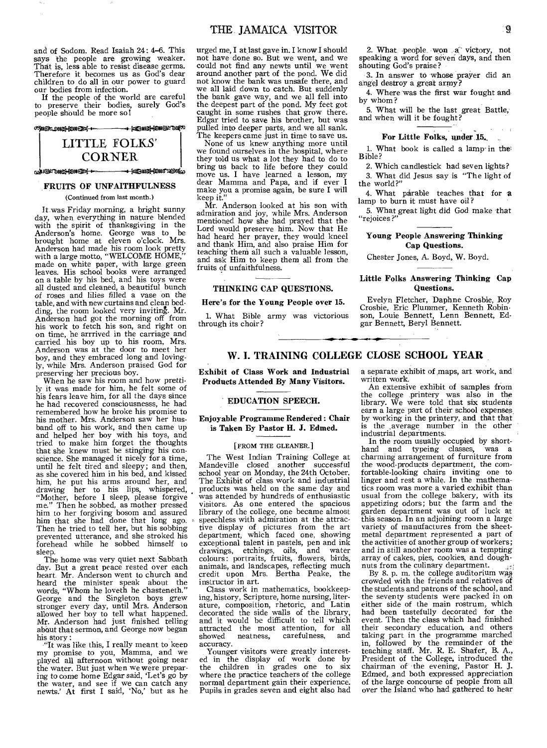and of Sodom. Read Isaiah 24: 4-6. This says the people are growing weaker. That is, less able to resist disease germs. Therefore it becomes us as God's dear children to do all in our power to guard our bodies from infection.

If the people of the world are careful to preserve their bodies, surely God's people should be more so!



# **FRUITS OF UNFAITHFULNESS**

(Continued from last month.)

It was Friday morning, a bright sunny day, when everything in nature blended with the spirit of thanksgiving in the Anderson's home. George was to be brought home at eleven o'clock. Mrs. Anderson had made his room look pretty with a large motto, "WELCOME HOME," made on white paper, with large green leaves. His school books were arranged on a table by his bed, and his toys were all dusted and cleaned, a beautiful bunch of roses and lilies filled a vase on the table, and with new curtains and clean bedding, the room looked very inviting. Mr. Anderson had got the morning off from his work to fetch his son, and right on on time, he arrrived in the carriage and carried his boy up to his room, Mrs. Anderson was at the door to meet her boy, and they embraced long and lovingly, while Mrs. Anderson praised God for preserving her precious boy.

When he saw his room and how prettily it was made for him, he felt some of his fears leave him, for all the days since he had recovered consciousnesss, he had remembered how he broke his promise to his mother. Mrs. Anderson saw her husband off to his work, and then came up and helped her boy with his toys, and tried to make him forget the thoughts that she knew must be stinging his conscience. She managed it nicely for a time, until he felt tired and sleepy; and then, as she covered him in his bed, and kissed him, he put his arms around her, and drawing her to his lips, whispered, "Mother, before I sleep, please forgive me." Then he sobbed, as mother pressed him to her forgiving bosom and assured him that she had done that long ago. Then he tried to tell her, but his sobbing prevented utterance, and she stroked his forehead while he sobbed himself to sleep.

The home was very quiet next Sabbath day. But a great peace rested over each heart. Mr. Anderson went to church and heard the minister speak about the words, "Whom he loveth he chasteneth." George and the Singleton boys grew stranger every day, until Mrs. Anderson allowed her boy to tell what happened. Mr. Anderson had just finished telling about that sermon, and George now began his story :

"It was like this, I really meant to keen my promise to you, Mamma, and we played all afternoon without going near the water. But just when we were preparing to come home Edgar said, 'Let's *go* by the water, and see if we can catch any newts.' At first I said, 'No,' but as he urged me. I at last gave in. I know  $I$  should not have done so. But we went, and we could not find any newts until we went around another part of the pond. We did not know the bank was unsafe there, and we all laid down to catch. But suddenly the bank gave way, and we all fell into the deepest part of the pond. My feet got caught in some rushes that grow there. Edgar tried to save his brother, but was pulled into deeper parts, and we all sank. The keepers came just in time to save us.

None of us knew anything more until we found ourselves in the hospital, where they told us what a lot they had to do to bring us back to life before they could move us. I have learned a lesson, my dear Mamma and Papa, and if ever I make you a promise again, be sure I will keep it.

Mr. Anderson looked at his son with admiration and joy, while Mrs. Anderson mentioned how she had prayed that the Lord would preserve him. Now that He had heard her prayer, they would kneel and thank Him, arid also praise Him for teaching them all such a valuable lesson, and ask Him to keep them all from the fruits of unfaithfulness.

# **THINKING CAP QUESTIONS.**

## **Here's for the Young People over 15.**

1. What Bible army was victorious through its choir?

2. What people won a victory, not speaking a word for seven days, and then shouting God's praise?

3. In answer to whose prayer did an angel destroy a great army?

4. Where was the first war fought and by whom?

5. What will be the last great Battle, and when will it be fought?

# **For Little Folks, under** 15,

1. What book is called a lamp-in the Bible?

2. Which candlestick had seven lights? 3. What did Jesus say is "The light of the world?"

4. What parable teaches that for a lamp to burn it must have oil?

5. What great light did God make that "rejoices?

# **Young People Answering Thinking Cap Questions.**

Chester Jones, A. Boyd, W. Boyd.

### **Little Folks Answering Thinking Cap Questions.**

Evelyn Fletcher, Daphne Crosbie, Roy Crosbie, Eric Plummer, Kenneth Robin-son, Louie Bennett, Lenn Bennett, Ed-gar Bennett, Beryl Bennett.

# **W. I. TRAINING COLLEGE CLOSE SCHOOL YEAR**

**Exhibit of Class Work and Industrial Products Attended By Many Visitors.** 

# **EDUCATION SPEECH.**

# **Enjoyable Programme Rendered : Chair is Taken By Pastor H. J. Edmed.**

### [FROM THE GLEANER.]

The West Indian Training College at Mandeville closed another *successf* ul school year on Monday, the 24th October. The Exhibit of class work and industrial products was held on the same day and was attended by hundreds of enthusiastic visitors. As one entered the spacious library of the college, one became almost speechless with admiration at the attractive display of pictures from the art department, which faced one, showing exceptional talent in pastels, pen and ink drawings, etchings, oils, and water colours: portraits, fruits, flowers, birds, animals, and landscapes, reflecting much credit upon Mrs. Bertha Peake, the instructor in art.

Class work in mathematics, bookkeeping, history, Scripture, home nursing, literature, composition, rhetoric, and Latin decorated the side walls of the library, and it would be difficult to tell which attracted the most attention, for all showed neatness, carefulness, and accuracy.

Younger visitors were greatly interest-ed in the display of work done by the children in grades one to six where the practice teachers of the college normal department gain their experience. Pupils in grades seven and eight also had

a separate exhibit of maps, art work, and written work.

An extensive exhibit of samples from the college printery was also in the library. We were told that six students earn a large part of their school expenses by working in the printery, and that that is the ,average number in the other industrial departments.

In the room usually occupied by short-<br>and and typeing classes, was a hand and typeing classes, charming arrangement of furniture from the wood-products department, the comfortable-looking chairs inviting one to linger and rest a while. In the mathematics room was more a varied exhibit than usual from the college bakery, with its appetizing odors; but the farm and the garden department was out of luck at this season. In an adjoining room a large variety of manufactures from the sheetmetal department represented a part of the activities of another group of workers; and in still another room was a tempting array of cakes, pies, cookies, and doughnuts from the culinary department.

By 8. p. m. the college auditorium was crowded with the friends and relatives of the students and patrons of the school, and the seventy students were packed in on either side of the main rostrum, which had been tastefully decorated for the event. Then the class which had finished their secondary education, and others taking part in the programme marched in, followed by the remainder of the teaching staff. Mr. R. E. Shafer, B. A., President of the College, introduced the chairman of the evening, Pastor H. J. Edmed, and both expressed appreciation of the large concourse of people from all over the Island who had gathered to hear